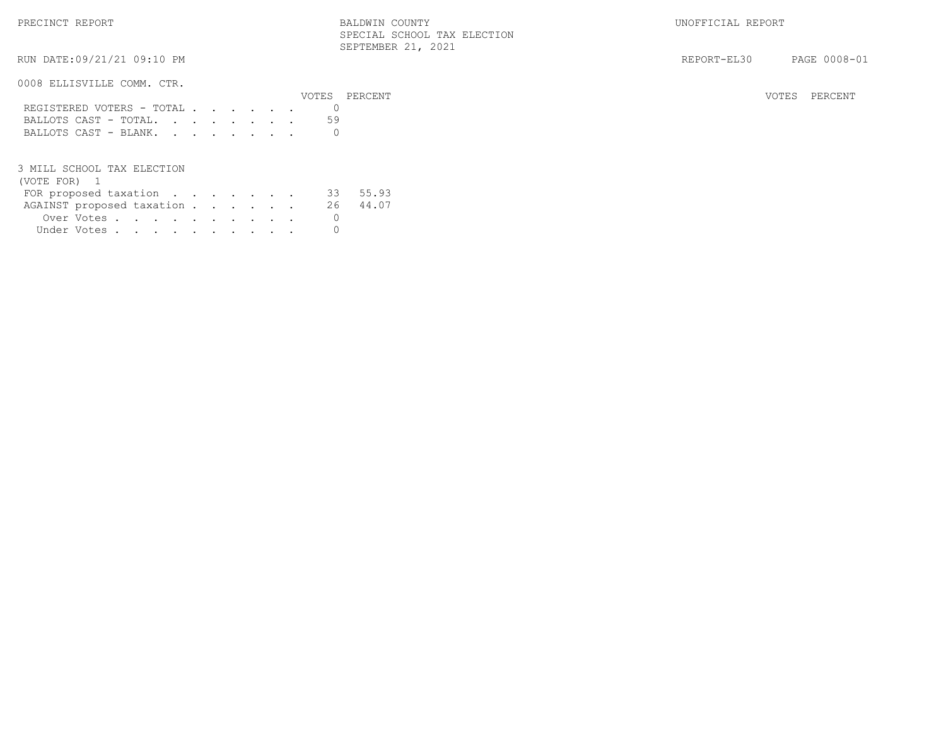RUN DATE:09/21/21 09:10 PM SEPTEMBER 21, 2021

### 0008 ELLISVILLE COMM. CTR.

|                             | VOTES PERCENT | VOTES PERCENT |
|-----------------------------|---------------|---------------|
| REGISTERED VOTERS - TOTAL 0 |               |               |
| BALLOTS CAST - TOTAL59      |               |               |
| BALLOTS CAST - BLANK. 0     |               |               |

#### 3 MILL SCHOOL TAX ELECTION

|  |  |  |  |  | 33 55.93                                                                                 |
|--|--|--|--|--|------------------------------------------------------------------------------------------|
|  |  |  |  |  |                                                                                          |
|  |  |  |  |  |                                                                                          |
|  |  |  |  |  |                                                                                          |
|  |  |  |  |  | FOR proposed taxation<br>AGAINST proposed taxation 26 44.07<br>Over Votes<br>Under Votes |

REPORT-EL30 PAGE 0008-01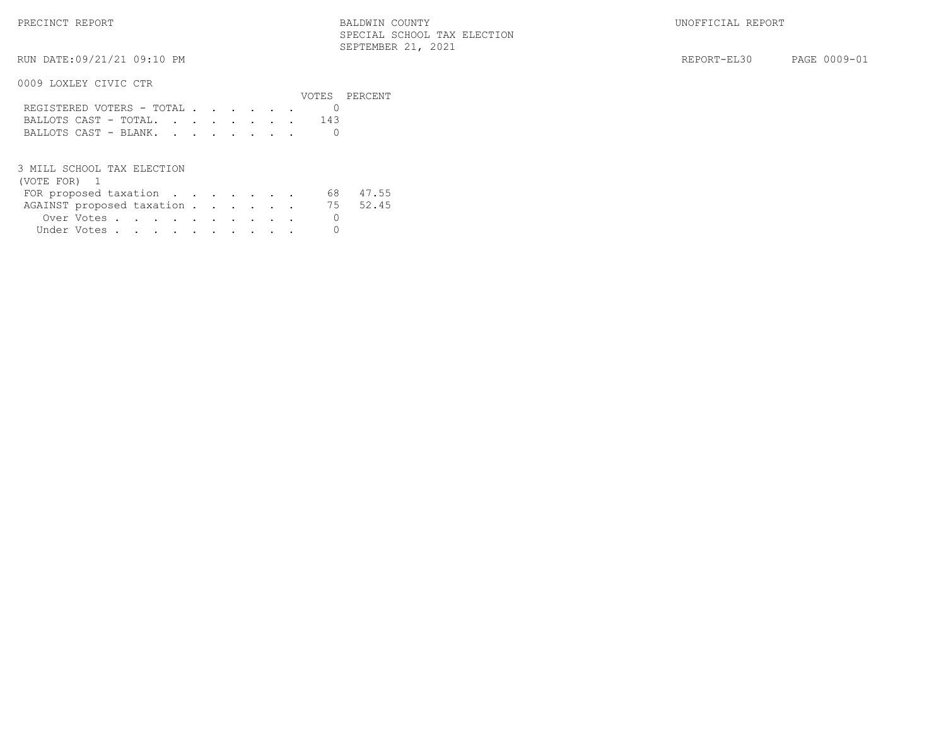0009 LOXLEY CIVIC CTR

|                           |  |  |  |  |     | VOTES PERCENT |
|---------------------------|--|--|--|--|-----|---------------|
| REGISTERED VOTERS - TOTAL |  |  |  |  |     |               |
| BALLOTS CAST - TOTAL.     |  |  |  |  | 143 |               |
| BALLOTS CAST - BLANK.     |  |  |  |  |     |               |

3 MILL SCHOOL TAX ELECTION

| FOR proposed taxation              |  |  |  |  |  | 68 47.55 |
|------------------------------------|--|--|--|--|--|----------|
| AGAINST proposed taxation 75 52.45 |  |  |  |  |  |          |
| Over Votes                         |  |  |  |  |  |          |
| Under Votes                        |  |  |  |  |  |          |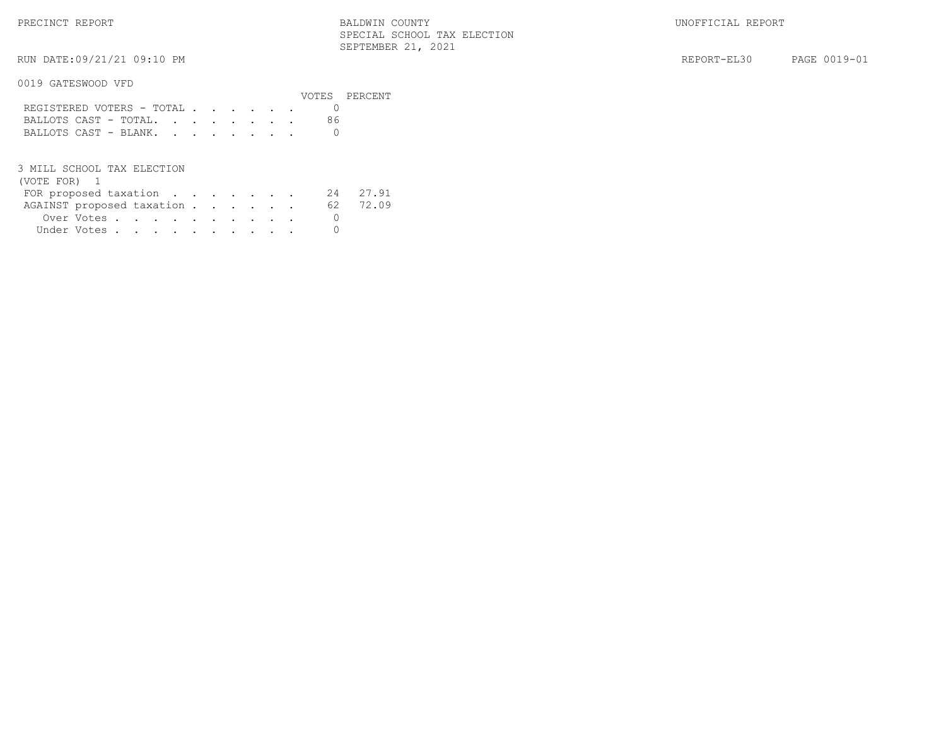PRECINCT REPORT THE REPORT REPORT REPORT BALDWIN COUNTY SERVICES IN SERVICES AND REPORT BALLON BALDWIN COUNTY SPECIAL SCHOOL TAX ELECTION SEPTEMBER 21, 2021

0019 GATESWOOD VFD

|                           |  |  |  |  |  | VOTES PERCENT |
|---------------------------|--|--|--|--|--|---------------|
| REGISTERED VOTERS - TOTAL |  |  |  |  |  |               |
| BALLOTS CAST - TOTAL.     |  |  |  |  |  |               |
| BALLOTS CAST - BLANK.     |  |  |  |  |  |               |
|                           |  |  |  |  |  |               |

3 MILL SCHOOL TAX ELECTION

| FOR proposed taxation     |             |  |  |  |  |  | 24 27.91 |
|---------------------------|-------------|--|--|--|--|--|----------|
| AGAINST proposed taxation |             |  |  |  |  |  | 62 72.09 |
|                           | Over Votes  |  |  |  |  |  |          |
|                           | Under Votes |  |  |  |  |  |          |
|                           |             |  |  |  |  |  |          |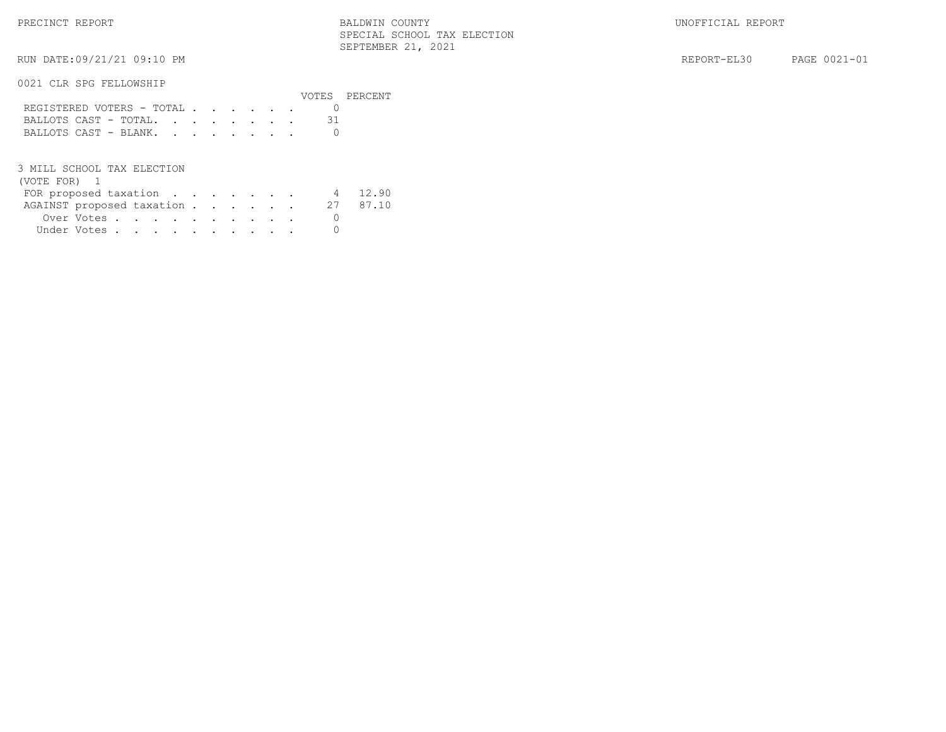RUN DATE:09/21/21 09:10 PM SEPTEMBER 21, 2021

0021 CLR SPG FELLOWSHIP

|                           |  |  |  |  |  | VOTES PERCENT |
|---------------------------|--|--|--|--|--|---------------|
| REGISTERED VOTERS - TOTAL |  |  |  |  |  |               |
| BALLOTS CAST - TOTAL.     |  |  |  |  |  |               |
| BALLOTS CAST - BLANK.     |  |  |  |  |  |               |
|                           |  |  |  |  |  |               |

3 MILL SCHOOL TAX ELECTION

|  |  |  |  |  | 4 12.90                                                                         |
|--|--|--|--|--|---------------------------------------------------------------------------------|
|  |  |  |  |  | 27 87.10                                                                        |
|  |  |  |  |  |                                                                                 |
|  |  |  |  |  |                                                                                 |
|  |  |  |  |  | FOR proposed taxation<br>AGAINST proposed taxation<br>Over Votes<br>Under Votes |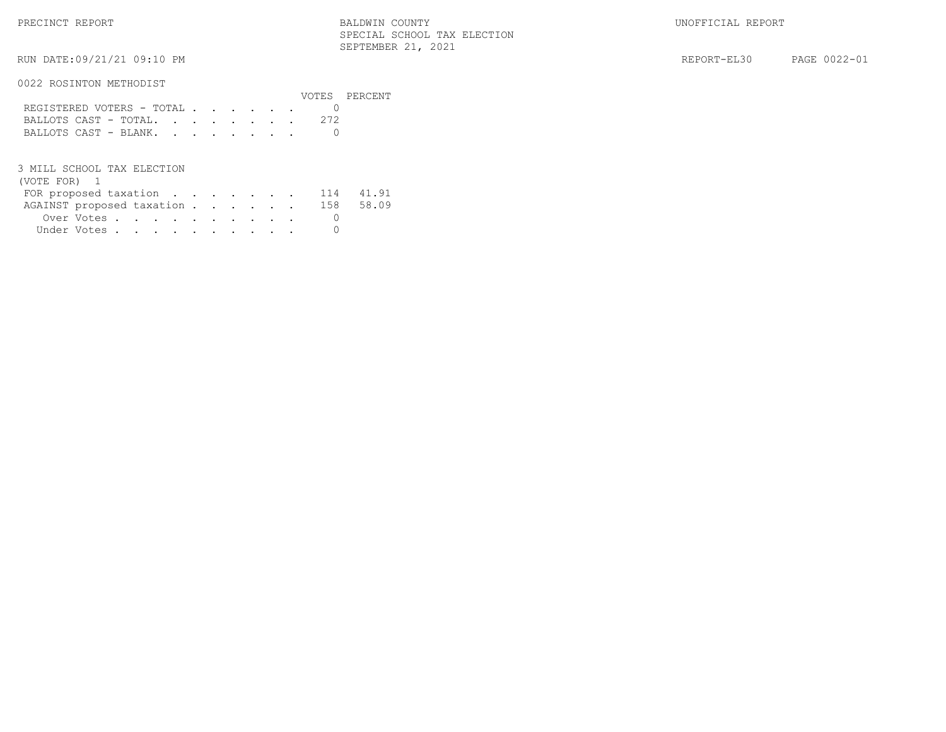PRECINCT REPORT THE REPORT REPORT REPORT BALDWIN COUNTY SERVICES IN SERVICES AND REPORT BALLON BALDWIN COUNTY SPECIAL SCHOOL TAX ELECTION SEPTEMBER 21, 2021

0022 ROSINTON METHODIST

| VV22 INVUINIVIN IIUIINUUIDI |                           |  |  |  |  |               |
|-----------------------------|---------------------------|--|--|--|--|---------------|
|                             |                           |  |  |  |  | VOTES PERCENT |
|                             | REGISTERED VOTERS - TOTAL |  |  |  |  |               |
|                             |                           |  |  |  |  |               |
|                             | BALLOTS CAST - BLANK.     |  |  |  |  |               |
|                             |                           |  |  |  |  |               |

3 MILL SCHOOL TAX ELECTION

# (VOTE FOR) 1

| FOR proposed taxation $\ldots$ 114 41.91 |  |  |  |  |  |  |
|------------------------------------------|--|--|--|--|--|--|
| AGAINST proposed taxation 158 58.09      |  |  |  |  |  |  |
| Over Votes                               |  |  |  |  |  |  |
| Under Votes                              |  |  |  |  |  |  |

RUN DATE:09/21/21 09:10 PM REPORT-EL30 PAGE 0022-01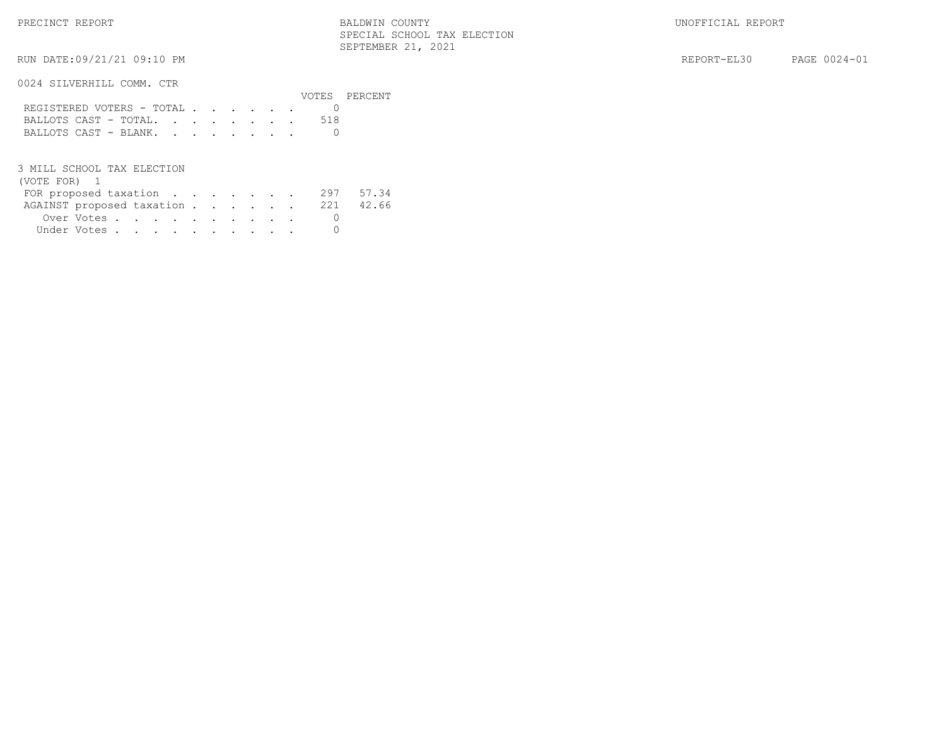0024 SILVERHILL COMM. CTR

|                           |  |  |  |  |  | VOTES PERCENT |
|---------------------------|--|--|--|--|--|---------------|
| REGISTERED VOTERS - TOTAL |  |  |  |  |  |               |
| BALLOTS CAST - TOTAL518   |  |  |  |  |  |               |
| BALLOTS CAST - BLANK.     |  |  |  |  |  |               |
|                           |  |  |  |  |  |               |

3 MILL SCHOOL TAX ELECTION

| FOR proposed taxation 297 57.34     |  |  |  |  |  |  |
|-------------------------------------|--|--|--|--|--|--|
| AGAINST proposed taxation 221 42.66 |  |  |  |  |  |  |
| Over Votes                          |  |  |  |  |  |  |
| Under Votes                         |  |  |  |  |  |  |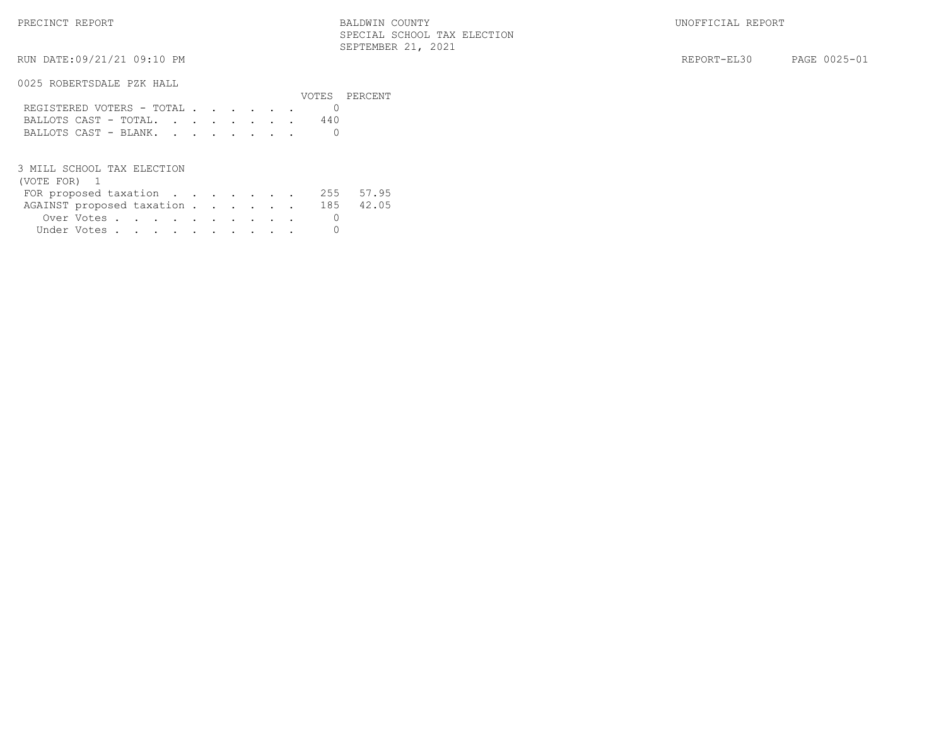RUN DATE:09/21/21 09:10 PM REPORT-EL30 PAGE 0025-01

### 0025 ROBERTSDALE PZK HALL

|                           |  |  |  |  |  | VOTES PERCENT |
|---------------------------|--|--|--|--|--|---------------|
| REGISTERED VOTERS - TOTAL |  |  |  |  |  |               |
| BALLOTS CAST - TOTAL      |  |  |  |  |  |               |
| BALLOTS CAST - BLANK.     |  |  |  |  |  |               |

#### 3 MILL SCHOOL TAX ELECTION

| FOR proposed taxation               |  |  |  |  | 255 57.95 |
|-------------------------------------|--|--|--|--|-----------|
| AGAINST proposed taxation 185 42.05 |  |  |  |  |           |
| Over Votes                          |  |  |  |  |           |
| Under Votes                         |  |  |  |  |           |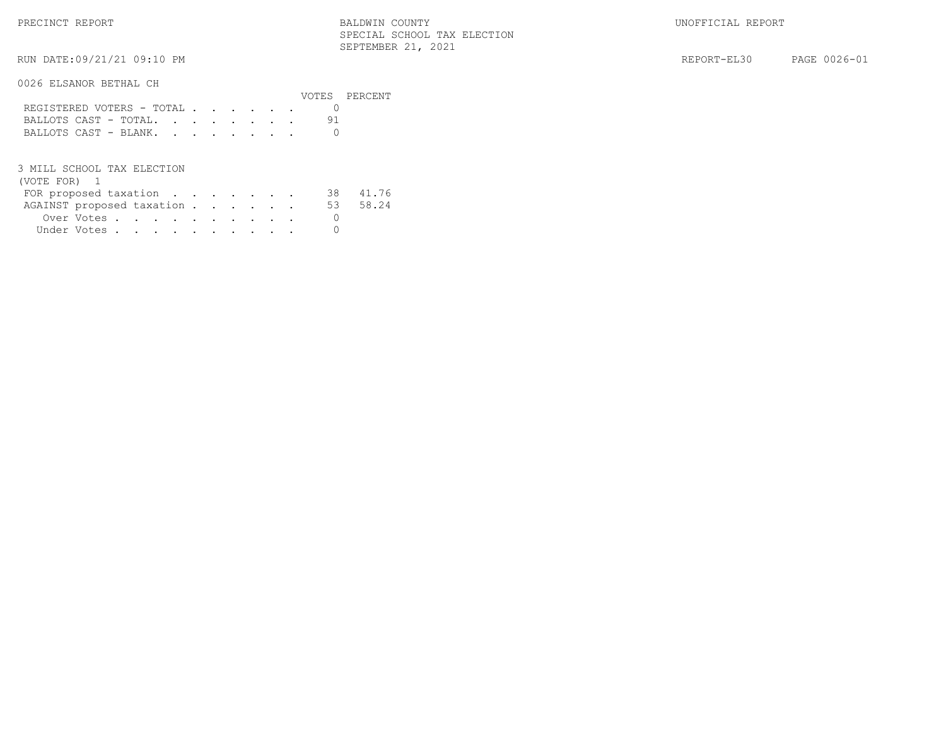RUN DATE:09/21/21 09:10 PM SEPTEMBER 21, 2021

0026 ELSANOR BETHAL CH

|                           |  |  |  |  | VOTES PERCENT |
|---------------------------|--|--|--|--|---------------|
| REGISTERED VOTERS - TOTAL |  |  |  |  |               |
| BALLOTS CAST - TOTAL.     |  |  |  |  |               |
| BALLOTS CAST - BLANK.     |  |  |  |  |               |

3 MILL SCHOOL TAX ELECTION

| FOR proposed taxation              |  |  |  |  |  | 38 41.76 |
|------------------------------------|--|--|--|--|--|----------|
| AGAINST proposed taxation 53 58.24 |  |  |  |  |  |          |
| Over Votes                         |  |  |  |  |  |          |
| Under Votes                        |  |  |  |  |  |          |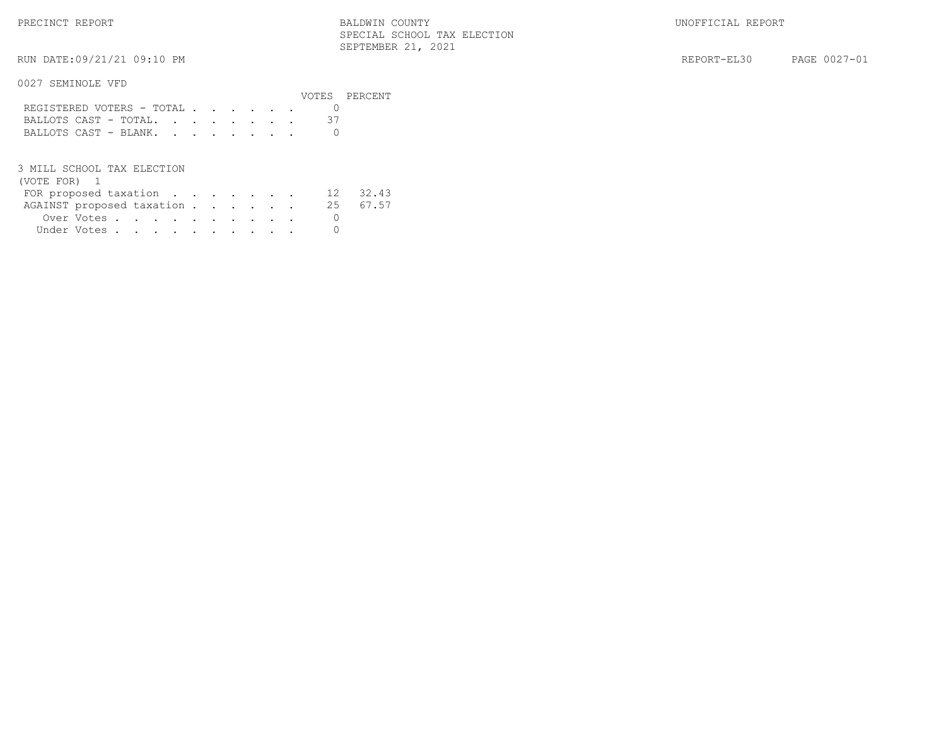RUN DATE:09/21/21 09:10 PM SEPTEMBER 21, 2021

REPORT-EL30 PAGE 0027-01

### 0027 SEMINOLE VFD

|                           |  |  |  |  | VOTES PERCENT |
|---------------------------|--|--|--|--|---------------|
| REGISTERED VOTERS - TOTAL |  |  |  |  |               |
| BALLOTS CAST - TOTAL.     |  |  |  |  |               |
| BALLOTS CAST - BLANK.     |  |  |  |  |               |

#### 3 MILL SCHOOL TAX ELECTION

| FOR proposed taxation     |  |  |  |  |  | 12 32.43 |
|---------------------------|--|--|--|--|--|----------|
| AGAINST proposed taxation |  |  |  |  |  | 25 67.57 |
| Over Votes                |  |  |  |  |  |          |
| Under Votes               |  |  |  |  |  |          |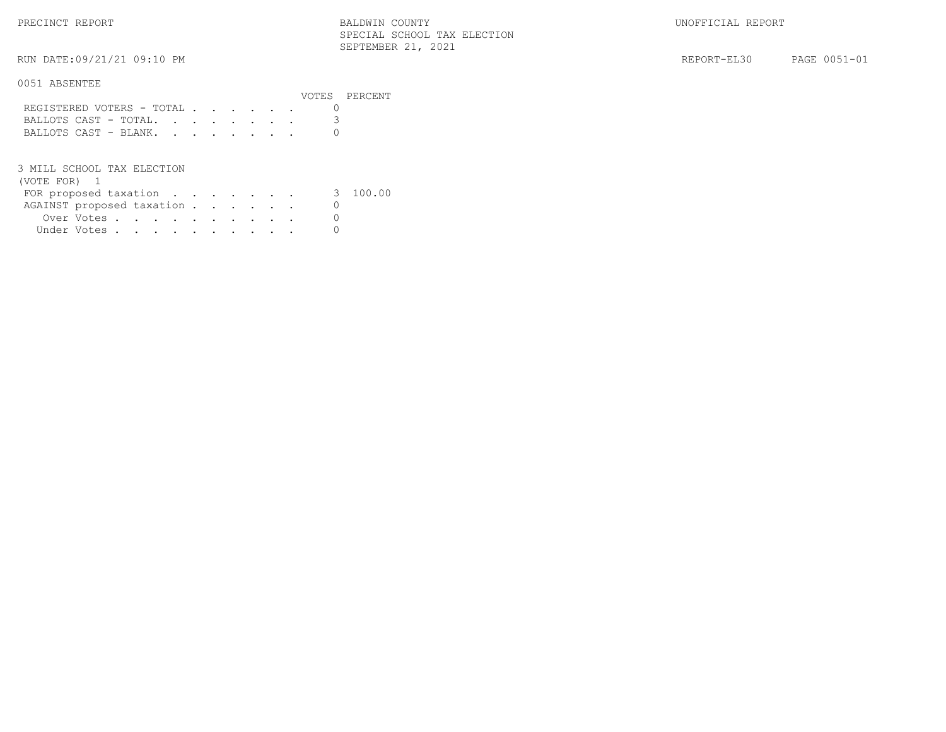PRECINCT REPORT THE REPORT REPORT REPORT BALDWIN COUNTY SERVICES IN SERVICES AND REPORT BALLON BALDWIN COUNTY SPECIAL SCHOOL TAX ELECTION SEPTEMBER 21, 2021

RUN DATE:09/21/21 09:10 PM REPORT-EL30 PAGE 0051-01

### 0051 ABSENTEE

|                           |  |  |  |  |  | VOTES PERCENT |
|---------------------------|--|--|--|--|--|---------------|
| REGISTERED VOTERS - TOTAL |  |  |  |  |  |               |
| BALLOTS CAST - TOTAL.     |  |  |  |  |  |               |
| BALLOTS CAST - BLANK.     |  |  |  |  |  |               |
|                           |  |  |  |  |  |               |

3 MILL SCHOOL TAX ELECTION

| (VOTE FOR) |
|------------|
|------------|

| FOR proposed taxation     |  |  |  |  | 3 100.00 |
|---------------------------|--|--|--|--|----------|
| AGAINST proposed taxation |  |  |  |  |          |
| Over Votes                |  |  |  |  |          |
| Under Votes               |  |  |  |  |          |